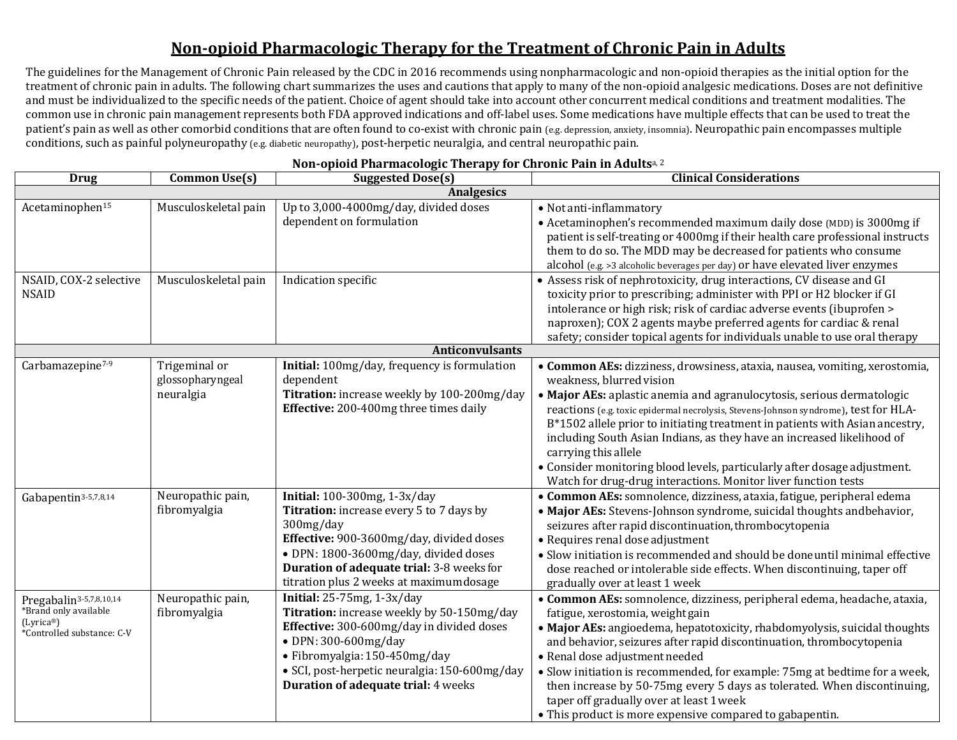## **Non-opioid Pharmacologic Therapy for the Treatment of Chronic Pain in Adults**

The guidelines for the Management of Chronic Pain released by the CDC in 2016 recommends using nonpharmacologic and non-opioid therapies as the initial option for the treatment of chronic pain in adults. The following chart summarizes the uses and cautions that apply to many of the non-opioid analgesic medications. Doses are not definitive and must be individualized to the specific needs of the patient. Choice of agent should take into account other concurrent medical conditions and treatment modalities. The common use in chronic pain management represents both FDA approved indications and off-label uses. Some medications have multiple effects that can be used to treat the patient's pain as well as other comorbid conditions that are often found to co-exist with chronic pain (e.g. depression, anxiety, insomnia). Neuropathic pain encompasses multiple conditions, such as painful polyneuropathy (e.g. diabetic neuropathy), post-herpetic neuralgia, and central neuropathic pain.

| <b>Drug</b>                                                                                                          | <b>Common Use(s)</b>                           | ------ <u>r</u> , --<br><b>Suggested Dose(s)</b>                                                                                                                                                                                                                              | <b>Clinical Considerations</b>                                                                                                                                                                                                                                                                                                                                                                                                                                                                                                                                                                            |  |  |
|----------------------------------------------------------------------------------------------------------------------|------------------------------------------------|-------------------------------------------------------------------------------------------------------------------------------------------------------------------------------------------------------------------------------------------------------------------------------|-----------------------------------------------------------------------------------------------------------------------------------------------------------------------------------------------------------------------------------------------------------------------------------------------------------------------------------------------------------------------------------------------------------------------------------------------------------------------------------------------------------------------------------------------------------------------------------------------------------|--|--|
| <b>Analgesics</b>                                                                                                    |                                                |                                                                                                                                                                                                                                                                               |                                                                                                                                                                                                                                                                                                                                                                                                                                                                                                                                                                                                           |  |  |
| Acetaminophen <sup>15</sup>                                                                                          | Musculoskeletal pain                           | Up to 3,000-4000mg/day, divided doses<br>dependent on formulation                                                                                                                                                                                                             | • Not anti-inflammatory<br>• Acetaminophen's recommended maximum daily dose (MDD) is 3000mg if<br>patient is self-treating or 4000mg if their health care professional instructs<br>them to do so. The MDD may be decreased for patients who consume<br>alcohol (e.g. >3 alcoholic beverages per day) or have elevated liver enzymes                                                                                                                                                                                                                                                                      |  |  |
| NSAID, COX-2 selective<br><b>NSAID</b>                                                                               | Musculoskeletal pain                           | Indication specific                                                                                                                                                                                                                                                           | • Assess risk of nephrotoxicity, drug interactions, CV disease and GI<br>toxicity prior to prescribing; administer with PPI or H2 blocker if GI<br>intolerance or high risk; risk of cardiac adverse events (ibuprofen ><br>naproxen); COX 2 agents maybe preferred agents for cardiac & renal<br>safety; consider topical agents for individuals unable to use oral therapy                                                                                                                                                                                                                              |  |  |
|                                                                                                                      |                                                | <b>Anticonvulsants</b>                                                                                                                                                                                                                                                        |                                                                                                                                                                                                                                                                                                                                                                                                                                                                                                                                                                                                           |  |  |
| Carbamazepine <sup>7-9</sup>                                                                                         | Trigeminal or<br>glossopharyngeal<br>neuralgia | Initial: 100mg/day, frequency is formulation<br>dependent<br>Titration: increase weekly by 100-200mg/day<br>Effective: 200-400mg three times daily                                                                                                                            | • Common AEs: dizziness, drowsiness, ataxia, nausea, vomiting, xerostomia,<br>weakness, blurred vision<br>• Major AEs: aplastic anemia and agranulocytosis, serious dermatologic<br>reactions (e.g. toxic epidermal necrolysis, Stevens-Johnson syndrome), test for HLA-<br>B*1502 allele prior to initiating treatment in patients with Asian ancestry,<br>including South Asian Indians, as they have an increased likelihood of<br>carrying this allele<br>• Consider monitoring blood levels, particularly after dosage adjustment.<br>Watch for drug-drug interactions. Monitor liver function tests |  |  |
| Gabapentin <sup>3-5,7,8,14</sup>                                                                                     | Neuropathic pain,<br>fibromyalgia              | Initial: 100-300mg, 1-3x/day<br>Titration: increase every 5 to 7 days by<br>300mg/day<br>Effective: 900-3600mg/day, divided doses<br>• DPN: 1800-3600mg/day, divided doses<br>Duration of adequate trial: 3-8 weeks for<br>titration plus 2 weeks at maximum dosage           | • Common AEs: somnolence, dizziness, ataxia, fatigue, peripheral edema<br>• Major AEs: Stevens-Johnson syndrome, suicidal thoughts and behavior,<br>seizures after rapid discontinuation, thrombocytopenia<br>• Requires renal dose adjustment<br>• Slow initiation is recommended and should be doneuntil minimal effective<br>dose reached or intolerable side effects. When discontinuing, taper off<br>gradually over at least 1 week                                                                                                                                                                 |  |  |
| Pregabalin <sup>3-5,7,8,10,14</sup><br>*Brand only available<br>(Lyrica <sup>®</sup> )<br>*Controlled substance: C-V | Neuropathic pain,<br>fibromyalgia              | <b>Initial:</b> 25-75mg, 1-3x/day<br>Titration: increase weekly by 50-150mg/day<br>Effective: 300-600mg/day in divided doses<br>• DPN: 300-600mg/day<br>· Fibromyalgia: 150-450mg/day<br>· SCI, post-herpetic neuralgia: 150-600mg/day<br>Duration of adequate trial: 4 weeks | · Common AEs: somnolence, dizziness, peripheral edema, headache, ataxia,<br>fatigue, xerostomia, weight gain<br>· Major AEs: angioedema, hepatotoxicity, rhabdomyolysis, suicidal thoughts<br>and behavior, seizures after rapid discontinuation, thrombocytopenia<br>· Renal dose adjustment needed<br>• Slow initiation is recommended, for example: 75mg at bedtime for a week,<br>then increase by 50-75mg every 5 days as tolerated. When discontinuing,<br>taper off gradually over at least 1 week<br>• This product is more expensive compared to gabapentin.                                     |  |  |

## **Non-opioid Pharmacologic Therapy for Chronic Pain in Adults**a, 2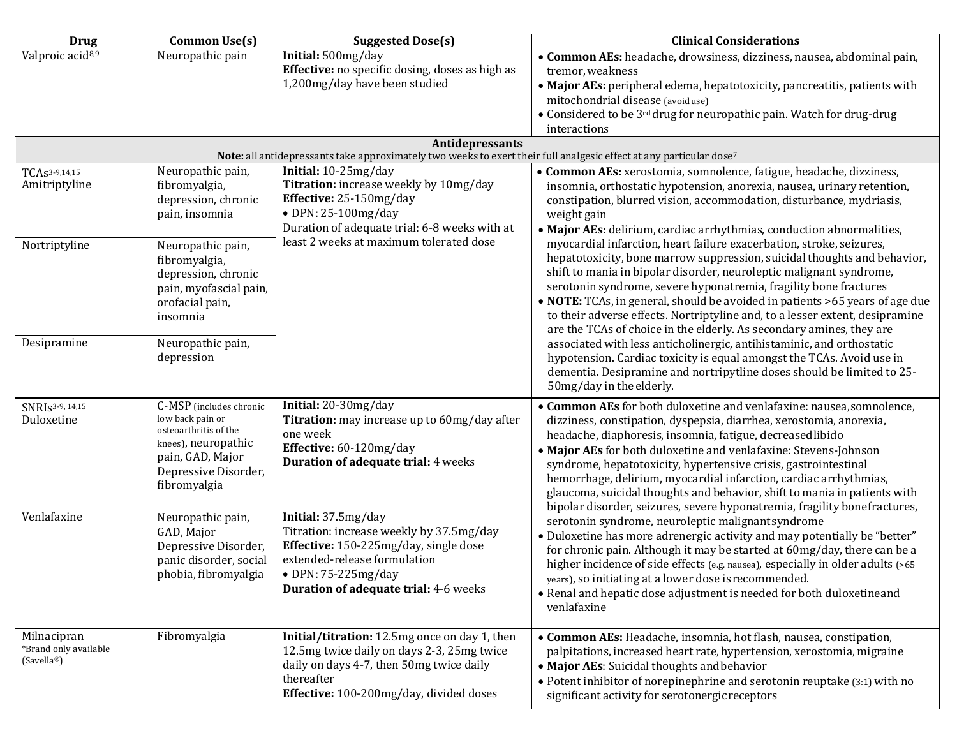| <b>Drug</b>                          | Common Use(s)                                | <b>Suggested Dose(s)</b>                                                                                                               | <b>Clinical Considerations</b>                                                                                                                    |
|--------------------------------------|----------------------------------------------|----------------------------------------------------------------------------------------------------------------------------------------|---------------------------------------------------------------------------------------------------------------------------------------------------|
| Valproic acid <sup>8,9</sup>         | Neuropathic pain                             | Initial: 500mg/day                                                                                                                     | • Common AEs: headache, drowsiness, dizziness, nausea, abdominal pain,                                                                            |
|                                      |                                              | Effective: no specific dosing, doses as high as                                                                                        | tremor, weakness                                                                                                                                  |
|                                      |                                              | 1,200mg/day have been studied                                                                                                          | • Major AEs: peripheral edema, hepatotoxicity, pancreatitis, patients with                                                                        |
|                                      |                                              |                                                                                                                                        | mitochondrial disease (avoiduse)                                                                                                                  |
|                                      |                                              |                                                                                                                                        | • Considered to be 3 <sup>rd</sup> drug for neuropathic pain. Watch for drug-drug                                                                 |
|                                      |                                              |                                                                                                                                        | interactions                                                                                                                                      |
|                                      |                                              | Antidepressants<br>Note: all antidepressants take approximately two weeks to exert their full analgesic effect at any particular dose7 |                                                                                                                                                   |
| TCAs <sup>3-9,14,15</sup>            | Neuropathic pain,                            | Initial: 10-25mg/day                                                                                                                   | • Common AEs: xerostomia, somnolence, fatigue, headache, dizziness,                                                                               |
| Amitriptyline                        | fibromyalgia,                                | Titration: increase weekly by 10mg/day                                                                                                 | insomnia, orthostatic hypotension, anorexia, nausea, urinary retention,                                                                           |
|                                      | depression, chronic                          | Effective: 25-150mg/day                                                                                                                | constipation, blurred vision, accommodation, disturbance, mydriasis,                                                                              |
|                                      | pain, insomnia                               | $\bullet$ DPN: 25-100mg/day                                                                                                            | weight gain                                                                                                                                       |
|                                      |                                              | Duration of adequate trial: 6-8 weeks with at                                                                                          | · Major AEs: delirium, cardiac arrhythmias, conduction abnormalities,                                                                             |
| Nortriptyline                        | Neuropathic pain,                            | least 2 weeks at maximum tolerated dose                                                                                                | myocardial infarction, heart failure exacerbation, stroke, seizures,                                                                              |
|                                      | fibromyalgia,                                |                                                                                                                                        | hepatotoxicity, bone marrow suppression, suicidal thoughts and behavior,                                                                          |
|                                      | depression, chronic                          |                                                                                                                                        | shift to mania in bipolar disorder, neuroleptic malignant syndrome,                                                                               |
|                                      | pain, myofascial pain,                       |                                                                                                                                        | serotonin syndrome, severe hyponatremia, fragility bone fractures<br>· NOTE: TCAs, in general, should be avoided in patients >65 years of age due |
|                                      | orofacial pain,<br>insomnia                  |                                                                                                                                        | to their adverse effects. Nortriptyline and, to a lesser extent, desipramine                                                                      |
|                                      |                                              |                                                                                                                                        | are the TCAs of choice in the elderly. As secondary amines, they are                                                                              |
| Desipramine                          | Neuropathic pain,                            |                                                                                                                                        | associated with less anticholinergic, antihistaminic, and orthostatic                                                                             |
|                                      | depression                                   |                                                                                                                                        | hypotension. Cardiac toxicity is equal amongst the TCAs. Avoid use in                                                                             |
|                                      |                                              |                                                                                                                                        | dementia. Desipramine and nortripytline doses should be limited to 25-                                                                            |
|                                      |                                              |                                                                                                                                        | 50mg/day in the elderly.                                                                                                                          |
| SNRI <sub>S3-9</sub> , 14,15         | C-MSP (includes chronic                      | Initial: 20-30mg/day                                                                                                                   | • Common AEs for both duloxetine and venlafaxine: nausea, somnolence,                                                                             |
| Duloxetine                           | low back pain or                             | Titration: may increase up to 60mg/day after                                                                                           | dizziness, constipation, dyspepsia, diarrhea, xerostomia, anorexia,                                                                               |
|                                      | osteoarthritis of the<br>knees), neuropathic | one week                                                                                                                               | headache, diaphoresis, insomnia, fatigue, decreased libido                                                                                        |
|                                      | pain, GAD, Major                             | Effective: 60-120mg/day                                                                                                                | • Major AEs for both duloxetine and venlafaxine: Stevens-Johnson                                                                                  |
|                                      | Depressive Disorder,                         | Duration of adequate trial: 4 weeks                                                                                                    | syndrome, hepatotoxicity, hypertensive crisis, gastrointestinal                                                                                   |
|                                      | fibromyalgia                                 |                                                                                                                                        | hemorrhage, delirium, myocardial infarction, cardiac arrhythmias,                                                                                 |
|                                      |                                              |                                                                                                                                        | glaucoma, suicidal thoughts and behavior, shift to mania in patients with                                                                         |
| Venlafaxine                          | Neuropathic pain,                            | Initial: 37.5mg/day                                                                                                                    | bipolar disorder, seizures, severe hyponatremia, fragility bone fractures,<br>serotonin syndrome, neuroleptic malignantsyndrome                   |
|                                      | GAD, Major                                   | Titration: increase weekly by 37.5mg/day                                                                                               | • Duloxetine has more adrenergic activity and may potentially be "better"                                                                         |
|                                      | Depressive Disorder,                         | Effective: 150-225mg/day, single dose                                                                                                  | for chronic pain. Although it may be started at 60mg/day, there can be a                                                                          |
|                                      | panic disorder, social                       | extended-release formulation                                                                                                           | higher incidence of side effects (e.g. nausea), especially in older adults (>65                                                                   |
|                                      | phobia, fibromyalgia                         | $\bullet$ DPN: 75-225mg/day                                                                                                            | years), so initiating at a lower dose is recommended.                                                                                             |
|                                      |                                              | Duration of adequate trial: 4-6 weeks                                                                                                  | • Renal and hepatic dose adjustment is needed for both duloxetine and                                                                             |
|                                      |                                              |                                                                                                                                        | venlafaxine                                                                                                                                       |
|                                      |                                              |                                                                                                                                        |                                                                                                                                                   |
| Milnacipran<br>*Brand only available | Fibromyalgia                                 | Initial/titration: 12.5mg once on day 1, then                                                                                          | • Common AEs: Headache, insomnia, hot flash, nausea, constipation,                                                                                |
| (Savella <sup>®</sup> )              |                                              | 12.5mg twice daily on days 2-3, 25mg twice<br>daily on days 4-7, then 50mg twice daily                                                 | palpitations, increased heart rate, hypertension, xerostomia, migraine                                                                            |
|                                      |                                              | thereafter                                                                                                                             | • Major AEs: Suicidal thoughts and behavior                                                                                                       |
|                                      |                                              | Effective: 100-200mg/day, divided doses                                                                                                | • Potent inhibitor of norepinephrine and serotonin reuptake (3:1) with no<br>significant activity for serotonergic receptors                      |
|                                      |                                              |                                                                                                                                        |                                                                                                                                                   |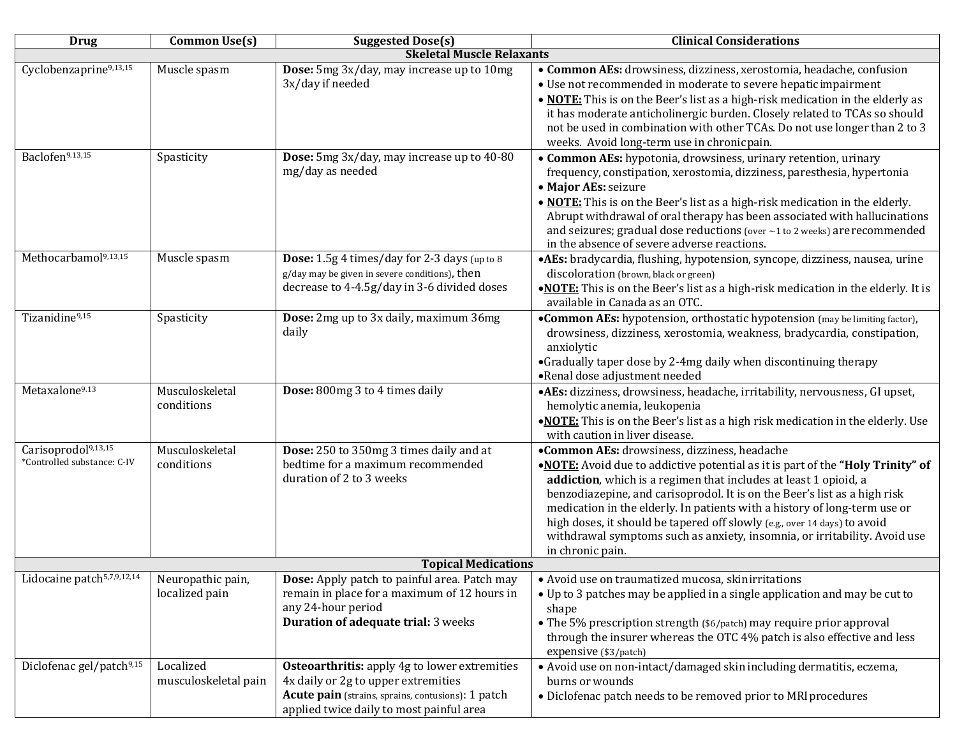| <b>Drug</b>                                                    | <b>Common Use(s)</b>                | <b>Suggested Dose(s)</b>                                                                                                                                                                      | <b>Clinical Considerations</b>                                                                                                                                                                                                                                                                                                                                                                                                                                                                                                             |  |  |
|----------------------------------------------------------------|-------------------------------------|-----------------------------------------------------------------------------------------------------------------------------------------------------------------------------------------------|--------------------------------------------------------------------------------------------------------------------------------------------------------------------------------------------------------------------------------------------------------------------------------------------------------------------------------------------------------------------------------------------------------------------------------------------------------------------------------------------------------------------------------------------|--|--|
|                                                                |                                     | <b>Skeletal Muscle Relaxants</b>                                                                                                                                                              |                                                                                                                                                                                                                                                                                                                                                                                                                                                                                                                                            |  |  |
| Cyclobenzaprine9,13,15                                         | Muscle spasm                        | Dose: 5mg 3x/day, may increase up to 10mg<br>3x/day if needed                                                                                                                                 | • Common AEs: drowsiness, dizziness, xerostomia, headache, confusion<br>• Use not recommended in moderate to severe hepatic impairment<br>. NOTE: This is on the Beer's list as a high-risk medication in the elderly as<br>it has moderate anticholinergic burden. Closely related to TCAs so should<br>not be used in combination with other TCAs. Do not use longer than 2 to 3<br>weeks. Avoid long-term use in chronicpain.                                                                                                           |  |  |
| Baclofen9.13,15                                                | Spasticity                          | Dose: 5mg 3x/day, may increase up to 40-80<br>mg/day as needed                                                                                                                                | • Common AEs: hypotonia, drowsiness, urinary retention, urinary<br>frequency, constipation, xerostomia, dizziness, paresthesia, hypertonia<br>· Major AEs: seizure<br>. NOTE: This is on the Beer's list as a high-risk medication in the elderly.<br>Abrupt withdrawal of oral therapy has been associated with hallucinations<br>and seizures; gradual dose reductions (over ~1 to 2 weeks) are recommended<br>in the absence of severe adverse reactions.                                                                               |  |  |
| Methocarbamol <sup>9,13,15</sup>                               | Muscle spasm                        | Dose: 1.5g 4 times/day for 2-3 days (up to 8<br>g/day may be given in severe conditions), then<br>decrease to 4-4.5g/day in 3-6 divided doses                                                 | ·AEs: bradycardia, flushing, hypotension, syncope, dizziness, nausea, urine<br>discoloration (brown, black or green)<br>.NOTE: This is on the Beer's list as a high-risk medication in the elderly. It is<br>available in Canada as an OTC.                                                                                                                                                                                                                                                                                                |  |  |
| Tizanidine9,15                                                 | Spasticity                          | Dose: 2mg up to 3x daily, maximum 36mg<br>daily                                                                                                                                               | •Common AEs: hypotension, orthostatic hypotension (may be limiting factor),<br>drowsiness, dizziness, xerostomia, weakness, bradycardia, constipation,<br>anxiolytic<br>•Gradually taper dose by 2-4mg daily when discontinuing therapy<br>•Renal dose adjustment needed                                                                                                                                                                                                                                                                   |  |  |
| Metaxalone9.13                                                 | Musculoskeletal<br>conditions       | Dose: 800mg 3 to 4 times daily                                                                                                                                                                | ·AEs: dizziness, drowsiness, headache, irritability, nervousness, GI upset,<br>hemolytic anemia, leukopenia<br>.NOTE: This is on the Beer's list as a high risk medication in the elderly. Use<br>with caution in liver disease.                                                                                                                                                                                                                                                                                                           |  |  |
| Carisoprodol <sup>9,13,15</sup><br>*Controlled substance: C-IV | Musculoskeletal<br>conditions       | Dose: 250 to 350mg 3 times daily and at<br>bedtime for a maximum recommended<br>duration of 2 to 3 weeks                                                                                      | •Common AEs: drowsiness, dizziness, headache<br>.NOTE: Avoid due to addictive potential as it is part of the "Holy Trinity" of<br>addiction, which is a regimen that includes at least 1 opioid, a<br>benzodiazepine, and carisoprodol. It is on the Beer's list as a high risk<br>medication in the elderly. In patients with a history of long-term use or<br>high doses, it should be tapered off slowly (e.g., over 14 days) to avoid<br>withdrawal symptoms such as anxiety, insomnia, or irritability. Avoid use<br>in chronic pain. |  |  |
| <b>Topical Medications</b>                                     |                                     |                                                                                                                                                                                               |                                                                                                                                                                                                                                                                                                                                                                                                                                                                                                                                            |  |  |
| Lidocaine patch <sup>5,7,9,12,14</sup>                         | Neuropathic pain,<br>localized pain | Dose: Apply patch to painful area. Patch may<br>remain in place for a maximum of 12 hours in<br>any 24-hour period<br>Duration of adequate trial: 3 weeks                                     | • Avoid use on traumatized mucosa, skinirritations<br>• Up to 3 patches may be applied in a single application and may be cut to<br>shape<br>• The 5% prescription strength (\$6/patch) may require prior approval<br>through the insurer whereas the OTC 4% patch is also effective and less<br>expensive (\$3/patch)                                                                                                                                                                                                                     |  |  |
| Diclofenac gel/patch <sup>9,15</sup>                           | Localized<br>musculoskeletal pain   | <b>Osteoarthritis:</b> apply 4g to lower extremities<br>4x daily or 2g to upper extremities<br>Acute pain (strains, sprains, contusions): 1 patch<br>applied twice daily to most painful area | • Avoid use on non-intact/damaged skin including dermatitis, eczema,<br>burns or wounds<br>• Diclofenac patch needs to be removed prior to MRI procedures                                                                                                                                                                                                                                                                                                                                                                                  |  |  |